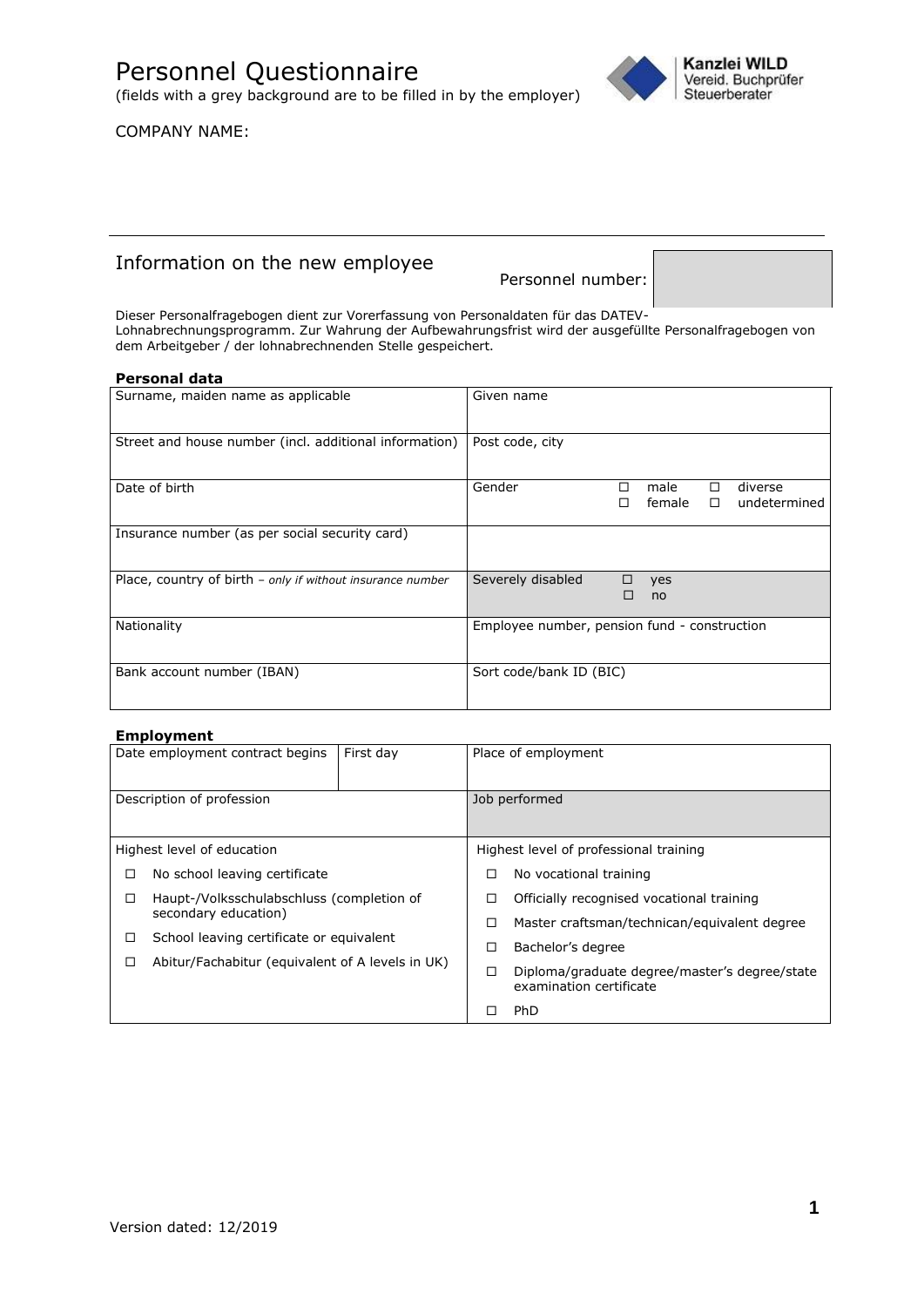Personnel Questionnaire (fields with a grey background are to be filled in by the employer)





# Information on the new employee

Personnel number:

Dieser Personalfragebogen dient zur Vorerfassung von Personaldaten für das DATEV-Lohnabrechnungsprogramm. Zur Wahrung der Aufbewahrungsfrist wird der ausgefüllte Personalfragebogen von dem Arbeitgeber / der lohnabrechnenden Stelle gespeichert.

### **Personal data**

| Surname, maiden name as applicable                         | Given name                                                          |
|------------------------------------------------------------|---------------------------------------------------------------------|
| Street and house number (incl. additional information)     | Post code, city                                                     |
| Date of birth                                              | Gender<br>diverse<br>male<br>□<br>п<br>female<br>undetermined<br>П. |
| Insurance number (as per social security card)             |                                                                     |
| Place, country of birth - only if without insurance number | Severely disabled<br>□<br>yes<br>П<br><sub>no</sub>                 |
| Nationality                                                | Employee number, pension fund - construction                        |
| Bank account number (IBAN)                                 | Sort code/bank ID (BIC)                                             |

### **Employment**

|                                                | Date employment contract begins                  | First day | Place of employment                       |                                               |
|------------------------------------------------|--------------------------------------------------|-----------|-------------------------------------------|-----------------------------------------------|
|                                                | Description of profession                        |           | Job performed                             |                                               |
|                                                | Highest level of education                       |           |                                           | Highest level of professional training        |
| □                                              | No school leaving certificate                    |           | □                                         | No vocational training                        |
| Haupt-/Volksschulabschluss (completion of<br>□ |                                                  | □         | Officially recognised vocational training |                                               |
|                                                | secondary education)                             |           |                                           | Master craftsman/technican/equivalent degree  |
| $\Box$                                         | School leaving certificate or equivalent         |           |                                           | Bachelor's degree                             |
| Π                                              | Abitur/Fachabitur (equivalent of A levels in UK) |           | ◻                                         | Diploma/graduate degree/master's degree/state |
|                                                |                                                  |           |                                           | examination certificate                       |
|                                                |                                                  |           |                                           | <b>PhD</b>                                    |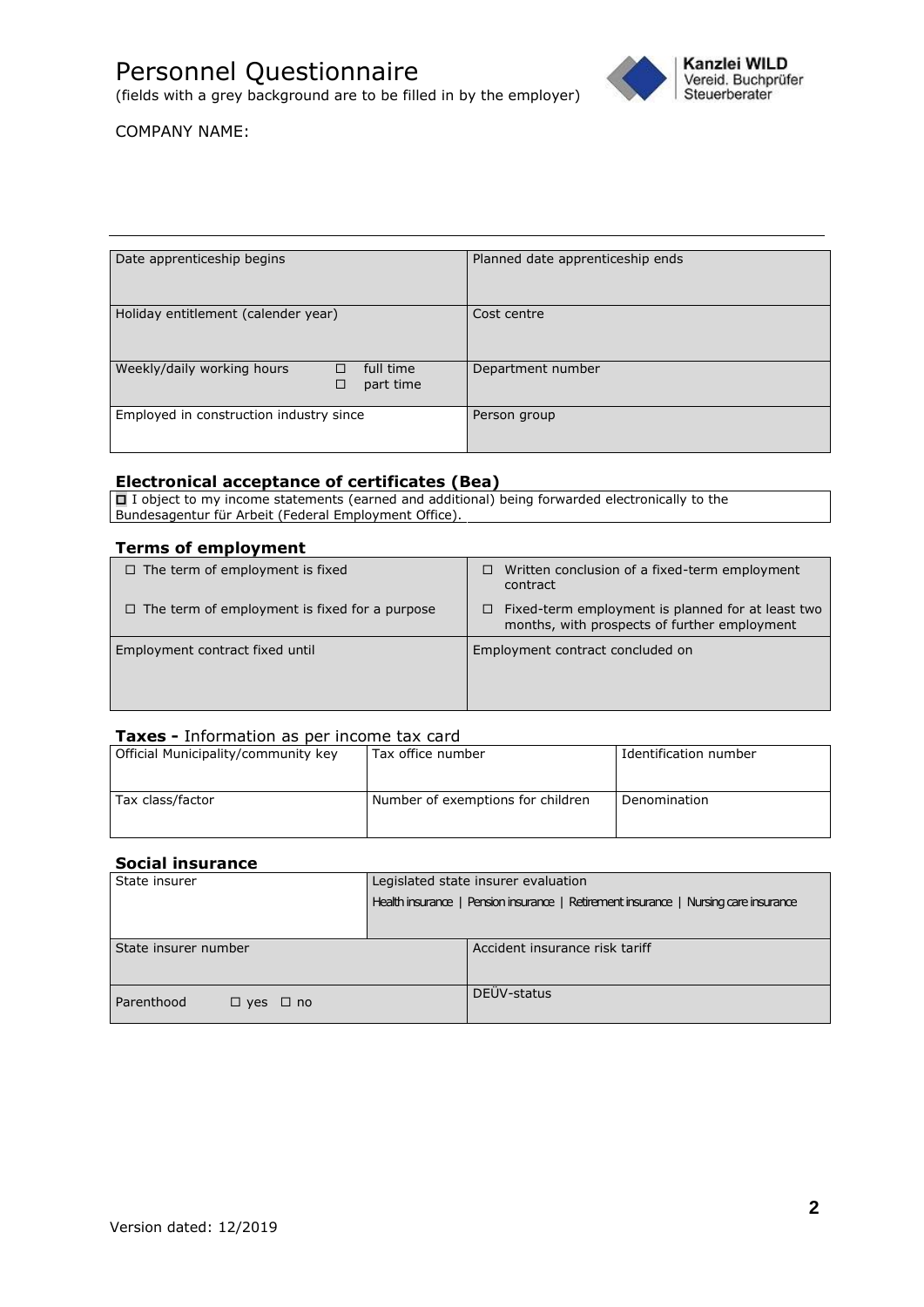(fields with a grey background are to be filled in by the employer)



COMPANY NAME:

| Date apprenticeship begins                                     | Planned date apprenticeship ends |  |  |
|----------------------------------------------------------------|----------------------------------|--|--|
| Holiday entitlement (calender year)                            | Cost centre                      |  |  |
| Weekly/daily working hours<br>full time<br>□<br>□<br>part time | Department number                |  |  |
| Employed in construction industry since                        | Person group                     |  |  |

## **Electronical acceptance of certificates (Bea)**

□ I object to my income statements (earned and additional) being forwarded electronically to the Bundesagentur für Arbeit (Federal Employment Office).

### **Terms of employment**

| $\Box$ The term of employment is fixed               | Written conclusion of a fixed-term employment<br>□<br>contract                                         |
|------------------------------------------------------|--------------------------------------------------------------------------------------------------------|
| $\Box$ The term of employment is fixed for a purpose | Fixed-term employment is planned for at least two<br>□<br>months, with prospects of further employment |
| Employment contract fixed until                      | Employment contract concluded on                                                                       |

### **Taxes -** Information as per income tax card

| Official Municipality/community key | Tax office number                 | Identification number |
|-------------------------------------|-----------------------------------|-----------------------|
|                                     |                                   |                       |
|                                     |                                   |                       |
| Tax class/factor                    | Number of exemptions for children | Denomination          |
|                                     |                                   |                       |
|                                     |                                   |                       |

### **Social insurance**

| State insurer                      | Legislated state insurer evaluation                                                  |  |
|------------------------------------|--------------------------------------------------------------------------------------|--|
|                                    | Health insurance   Pension insurance   Retirement insurance   Nursing care insurance |  |
|                                    |                                                                                      |  |
| State insurer number               | Accident insurance risk tariff                                                       |  |
| Parenthood<br>$\Box$ yes $\Box$ no | DEÜV-status                                                                          |  |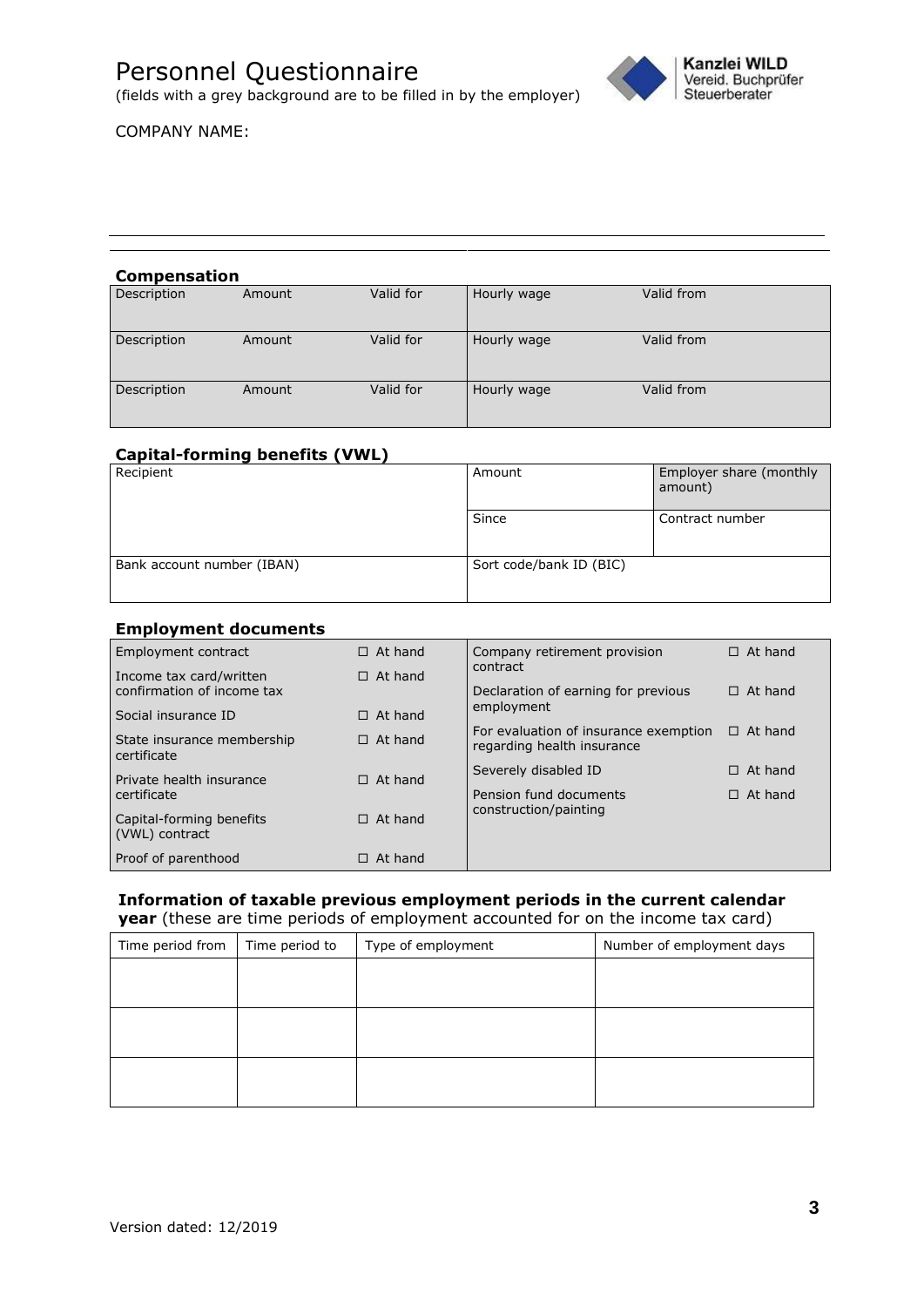

(fields with a grey background are to be filled in by the employer)

# COMPANY NAME:

### **Compensation**

| Description | Amount | Valid for | Hourly wage | Valid from |
|-------------|--------|-----------|-------------|------------|
| Description | Amount | Valid for | Hourly wage | Valid from |
| Description | Amount | Valid for | Hourly wage | Valid from |

## **Capital-forming benefits (VWL)**

| Recipient                  | Amount                  | Employer share (monthly<br>amount) |
|----------------------------|-------------------------|------------------------------------|
|                            | Since                   | Contract number                    |
| Bank account number (IBAN) | Sort code/bank ID (BIC) |                                    |

### **Employment documents**

| Employment contract                                   | $\Box$ At hand | Company retirement provision<br>contract                            | $\Box$ At hand |
|-------------------------------------------------------|----------------|---------------------------------------------------------------------|----------------|
| Income tax card/written<br>confirmation of income tax | $\Box$ At hand | Declaration of earning for previous                                 | $\Box$ At hand |
| Social insurance ID                                   | $\Box$ At hand | employment                                                          |                |
| State insurance membership<br>certificate             | $\Box$ At hand | For evaluation of insurance exemption<br>regarding health insurance | $\Box$ At hand |
| Private health insurance                              | $\Box$ At hand | Severely disabled ID                                                | At hand<br>п   |
| certificate                                           |                | Pension fund documents                                              | $\Box$ At hand |
| Capital-forming benefits<br>(VWL) contract            | $\Box$ At hand | construction/painting                                               |                |
| Proof of parenthood                                   | At hand        |                                                                     |                |

# **Information of taxable previous employment periods in the current calendar**

**year** (these are time periods of employment accounted for on the income tax card)

| Time period from | Time period to | Type of employment | Number of employment days |
|------------------|----------------|--------------------|---------------------------|
|                  |                |                    |                           |
|                  |                |                    |                           |
|                  |                |                    |                           |
|                  |                |                    |                           |
|                  |                |                    |                           |
|                  |                |                    |                           |